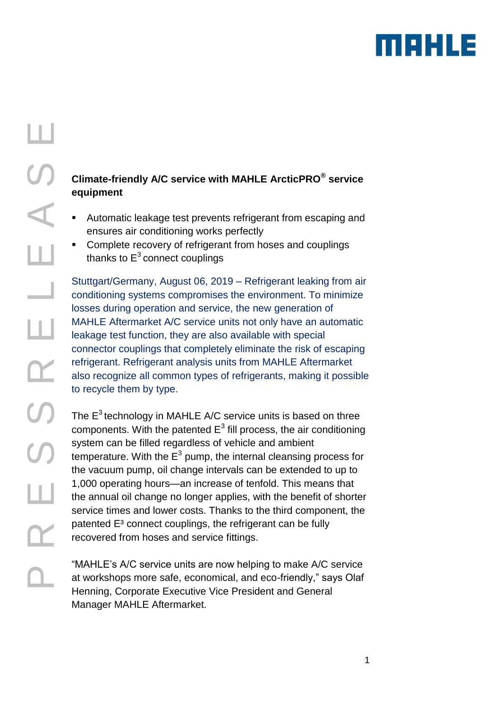

# R E S S R E L E A S E S<br>A Ш ш  $\alpha$  $\overline{S}$  $\overline{O}$ ш  $\mathsf{\Omega}\mathsf{-}$

Ш

#### **Climate-friendly A/C service with MAHLE ArcticPRO® service equipment**

- Automatic leakage test prevents refrigerant from escaping and ensures air conditioning works perfectly
- Complete recovery of refrigerant from hoses and couplings thanks to  $E^3$  connect couplings

Stuttgart/Germany, August 06, 2019 – Refrigerant leaking from air conditioning systems compromises the environment. To minimize losses during operation and service, the new generation of MAHLE Aftermarket A/C service units not only have an automatic leakage test function, they are also available with special connector couplings that completely eliminate the risk of escaping refrigerant. Refrigerant analysis units from MAHLE Aftermarket also recognize all common types of refrigerants, making it possible to recycle them by type.

The  $E^3$  technology in MAHLE A/C service units is based on three components. With the patented  $E^3$  fill process, the air conditioning system can be filled regardless of vehicle and ambient temperature. With the  $E^3$  pump, the internal cleansing process for the vacuum pump, oil change intervals can be extended to up to 1,000 operating hours—an increase of tenfold. This means that the annual oil change no longer applies, with the benefit of shorter service times and lower costs. Thanks to the third component, the patented E<sup>3</sup> connect couplings, the refrigerant can be fully recovered from hoses and service fittings.

"MAHLE's A/C service units are now helping to make A/C service at workshops more safe, economical, and eco-friendly," says Olaf Henning, Corporate Executive Vice President and General Manager MAHLE Aftermarket.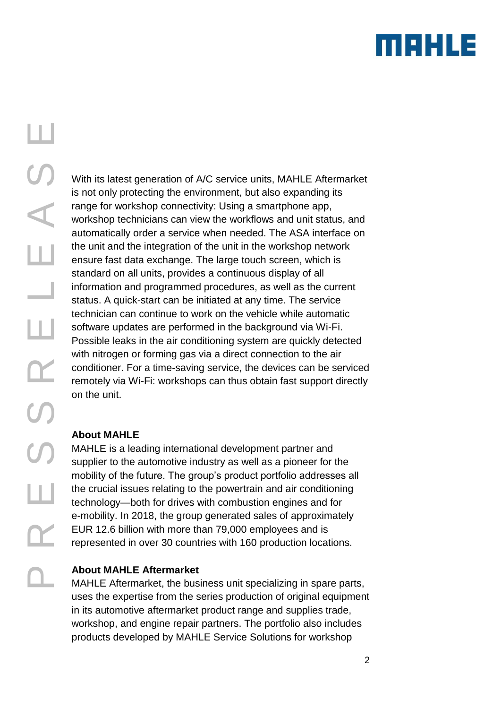### mekue

With its latest generation of A/C service units, MAHLE Aftermarket is not only protecting the environment, but also expanding its range for workshop connectivity: Using a smartphone app, workshop technicians can view the workflows and unit status, and automatically order a service when needed. The ASA interface on the unit and the integration of the unit in the workshop network ensure fast data exchange. The large touch screen, which is standard on all units, provides a continuous display of all information and programmed procedures, as well as the current status. A quick-start can be initiated at any time. The service technician can continue to work on the vehicle while automatic software updates are performed in the background via Wi-Fi. Possible leaks in the air conditioning system are quickly detected with nitrogen or forming gas via a direct connection to the air conditioner. For a time-saving service, the devices can be serviced remotely via Wi-Fi: workshops can thus obtain fast support directly on the unit.

#### **About MAHLE**

MAHLE is a leading international development partner and supplier to the automotive industry as well as a pioneer for the mobility of the future. The group's product portfolio addresses all the crucial issues relating to the powertrain and air conditioning technology—both for drives with combustion engines and for e-mobility. In 2018, the group generated sales of approximately EUR 12.6 billion with more than 79,000 employees and is represented in over 30 countries with 160 production locations.

#### **About MAHLE Aftermarket**

MAHLE Aftermarket, the business unit specializing in spare parts, uses the expertise from the series production of original equipment in its automotive aftermarket product range and supplies trade, workshop, and engine repair partners. The portfolio also includes products developed by MAHLE Service Solutions for workshop